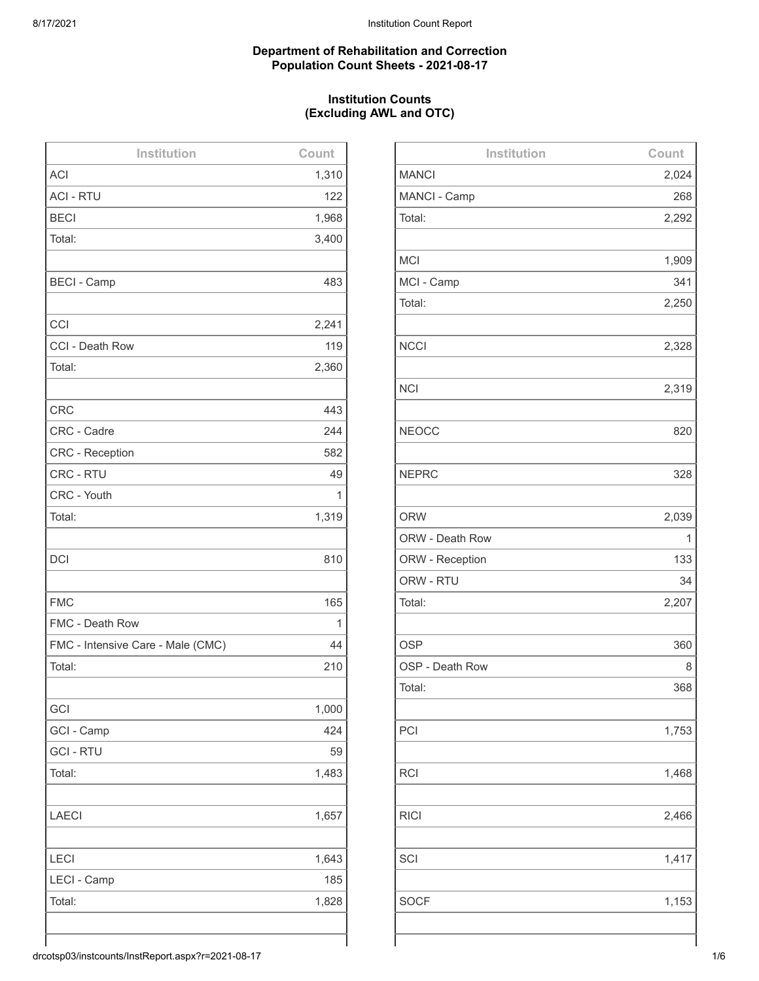# **Department of Rehabilitation and Correction Population Count Sheets - 2021-08-17**

# **Institution Counts (Excluding AWL and OTC)**

| Institution                       | Count |
|-----------------------------------|-------|
| <b>ACI</b>                        | 1,310 |
| <b>ACI - RTU</b>                  | 122   |
| <b>BECI</b>                       | 1,968 |
| Total:                            | 3,400 |
|                                   |       |
| <b>BECI - Camp</b>                | 483   |
|                                   |       |
| CCI                               | 2,241 |
| CCI - Death Row                   | 119   |
| Total:                            | 2,360 |
|                                   |       |
| <b>CRC</b>                        | 443   |
| CRC - Cadre                       | 244   |
| <b>CRC - Reception</b>            | 582   |
| CRC - RTU                         | 49    |
| CRC - Youth                       | 1     |
| Total:                            | 1,319 |
|                                   |       |
| <b>DCI</b>                        | 810   |
|                                   |       |
| <b>FMC</b>                        | 165   |
| FMC - Death Row                   | 1     |
| FMC - Intensive Care - Male (CMC) | 44    |
| Total:                            | 210   |
|                                   |       |
| GCI                               | 1,000 |
| GCI - Camp                        | 424   |
| <b>GCI - RTU</b>                  | 59    |
| Total:                            | 1,483 |
|                                   |       |
| <b>LAECI</b>                      | 1,657 |
|                                   |       |
| <b>LECI</b>                       | 1,643 |
| LECI - Camp                       | 185   |
| Total:                            | 1,828 |
|                                   |       |
|                                   |       |

| Institution     | Count |
|-----------------|-------|
| <b>MANCI</b>    | 2,024 |
| MANCI - Camp    | 268   |
| Total:          | 2,292 |
|                 |       |
| <b>MCI</b>      | 1,909 |
| MCI - Camp      | 341   |
| Total:          | 2,250 |
|                 |       |
| <b>NCCI</b>     | 2,328 |
|                 |       |
| <b>NCI</b>      | 2,319 |
|                 |       |
| <b>NEOCC</b>    | 820   |
|                 |       |
| <b>NEPRC</b>    | 328   |
|                 |       |
| <b>ORW</b>      | 2,039 |
| ORW - Death Row | 1     |
| ORW - Reception | 133   |
| ORW - RTU       | 34    |
| Total:          | 2,207 |
|                 |       |
| <b>OSP</b>      | 360   |
| OSP - Death Row | 8     |
| Total:          | 368   |
|                 |       |
| PCI             | 1,753 |
|                 |       |
| <b>RCI</b>      | 1,468 |
|                 |       |
| <b>RICI</b>     | 2,466 |
|                 |       |
| SCI             | 1,417 |
|                 |       |
| <b>SOCF</b>     | 1,153 |
|                 |       |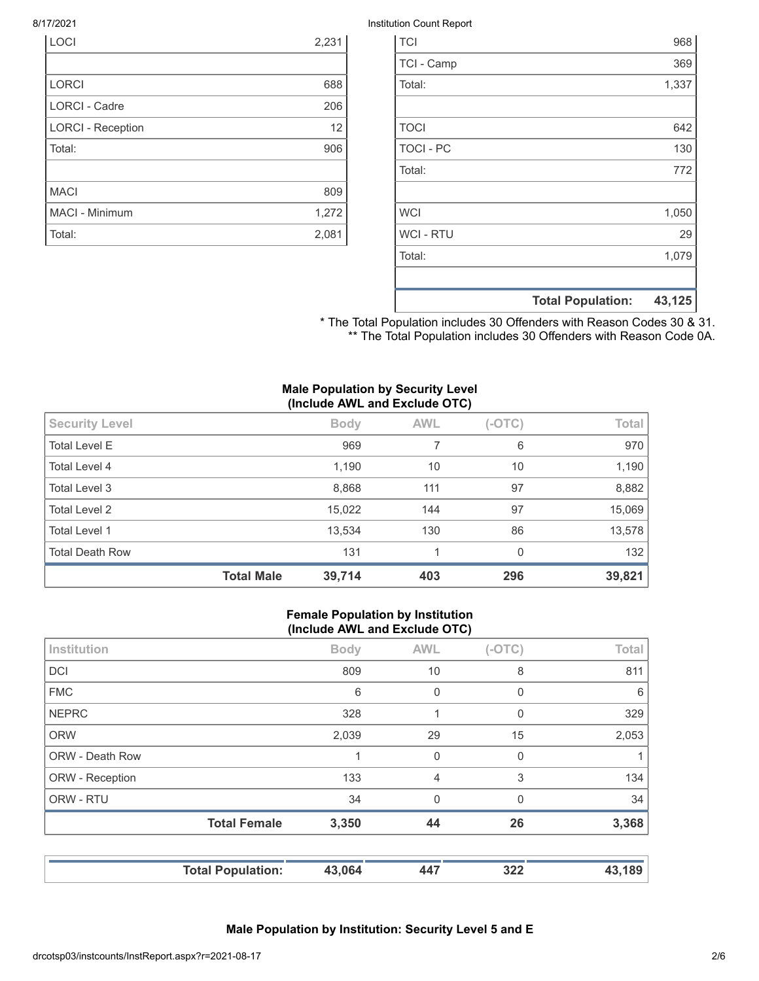| <b>LOCI</b>              | 2,231 |
|--------------------------|-------|
|                          |       |
| <b>LORCI</b>             | 688   |
| <b>LORCI - Cadre</b>     | 206   |
| <b>LORCI - Reception</b> | 12    |
| Total:                   | 906   |
|                          |       |
| <b>MACI</b>              | 809   |
| <b>MACI - Minimum</b>    | 1,272 |
| Total:                   | 2,081 |

#### 8/17/2021 Institution Count Report

| <b>TCI</b>       |                          | 968    |
|------------------|--------------------------|--------|
| TCI - Camp       |                          | 369    |
| Total:           |                          | 1,337  |
|                  |                          |        |
| <b>TOCI</b>      |                          | 642    |
| <b>TOCI - PC</b> |                          | 130    |
| Total:           |                          | 772    |
|                  |                          |        |
| <b>WCI</b>       |                          | 1,050  |
| <b>WCI - RTU</b> |                          | 29     |
| Total:           |                          | 1,079  |
|                  |                          |        |
|                  | <b>Total Population:</b> | 43,125 |

\* The Total Population includes 30 Offenders with Reason Codes 30 & 31. \*\* The Total Population includes 30 Offenders with Reason Code 0A.

#### **Male Population by Security Level (Include AWL and Exclude OTC)**

|                        | $\cdot$           |             |            |          |        |
|------------------------|-------------------|-------------|------------|----------|--------|
| <b>Security Level</b>  |                   | <b>Body</b> | <b>AWL</b> | $(-OTC)$ | Total  |
| <b>Total Level E</b>   |                   | 969         | 7          | 6        | 970    |
| Total Level 4          |                   | 1,190       | 10         | 10       | 1,190  |
| Total Level 3          |                   | 8,868       | 111        | 97       | 8,882  |
| <b>Total Level 2</b>   |                   | 15,022      | 144        | 97       | 15,069 |
| Total Level 1          |                   | 13,534      | 130        | 86       | 13,578 |
| <b>Total Death Row</b> |                   | 131         |            | $\Omega$ | 132    |
|                        | <b>Total Male</b> | 39,714      | 403        | 296      | 39,821 |

#### **Female Population by Institution (Include AWL and Exclude OTC)**

| 809<br><b>DCI</b><br>10<br>8<br><b>FMC</b><br>6<br>0<br>0<br><b>NEPRC</b><br>328<br>0<br>1<br><b>ORW</b><br>29<br>15<br>2,039<br>ORW - Death Row<br>0<br>0<br>1<br>133<br>3<br>ORW - Reception<br>4<br>ORW - RTU<br>34<br>0<br>$\Omega$<br><b>Total Female</b><br>3,350<br>44<br>26 | 43,189 | 322      | 447        | 43,064      | <b>Total Population:</b> |             |
|-------------------------------------------------------------------------------------------------------------------------------------------------------------------------------------------------------------------------------------------------------------------------------------|--------|----------|------------|-------------|--------------------------|-------------|
|                                                                                                                                                                                                                                                                                     | 3,368  |          |            |             |                          |             |
|                                                                                                                                                                                                                                                                                     | 34     |          |            |             |                          |             |
|                                                                                                                                                                                                                                                                                     | 134    |          |            |             |                          |             |
|                                                                                                                                                                                                                                                                                     |        |          |            |             |                          |             |
|                                                                                                                                                                                                                                                                                     | 2,053  |          |            |             |                          |             |
|                                                                                                                                                                                                                                                                                     | 329    |          |            |             |                          |             |
|                                                                                                                                                                                                                                                                                     | 6      |          |            |             |                          |             |
|                                                                                                                                                                                                                                                                                     | 811    |          |            |             |                          |             |
|                                                                                                                                                                                                                                                                                     | Total  | $(-OTC)$ | <b>AWL</b> | <b>Body</b> |                          | Institution |

**Male Population by Institution: Security Level 5 and E**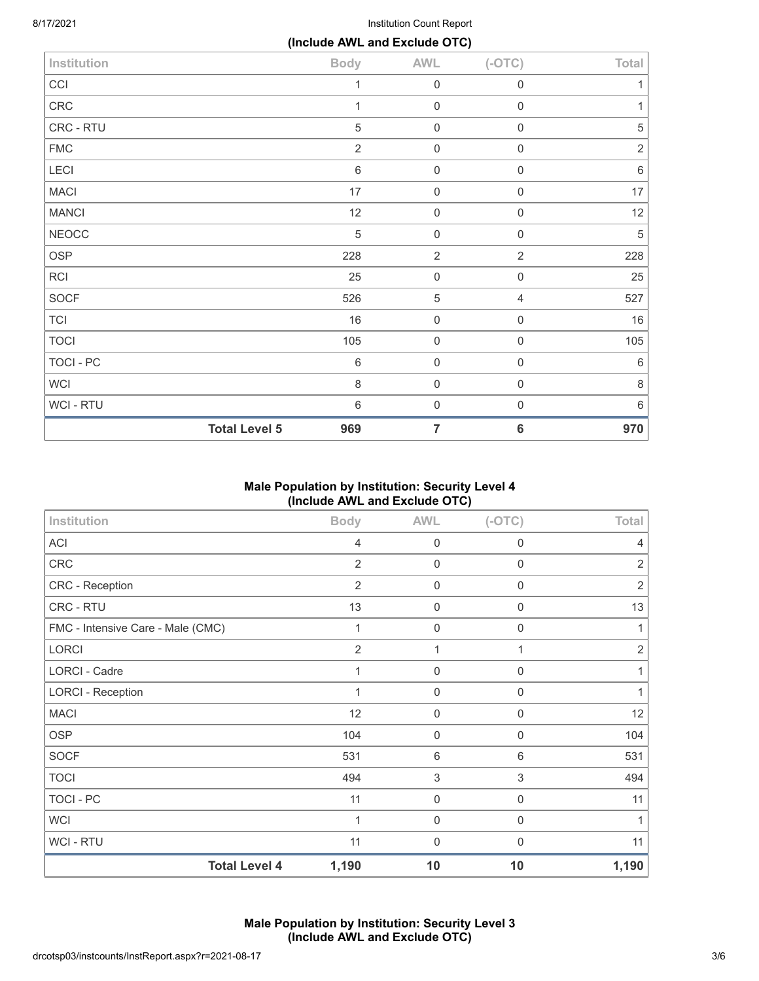8/17/2021 **Institution Count Report** 

|                |                      | (Include AWL and Exclude OTC) |                     |                     |            |
|----------------|----------------------|-------------------------------|---------------------|---------------------|------------|
| Institution    |                      | <b>Body</b>                   | <b>AWL</b>          | $(-OTC)$            | Total      |
| CCI            |                      | 1                             | $\mathbf 0$         | $\mathbf 0$         | 1          |
| CRC            |                      | 1                             | $\mathbf 0$         | $\mathbf 0$         | 1          |
| CRC - RTU      |                      | 5                             | $\mathbf 0$         | $\mathbf 0$         | 5          |
| <b>FMC</b>     |                      | $\overline{2}$                | $\mathbf 0$         | $\mathsf{O}\xspace$ | $\sqrt{2}$ |
| LECI           |                      | $\,6\,$                       | $\mathbf 0$         | $\mathsf{O}\xspace$ | 6          |
| <b>MACI</b>    |                      | 17                            | $\mathbf 0$         | $\mathbf 0$         | 17         |
| <b>MANCI</b>   |                      | 12                            | $\mathbf 0$         | $\mathbf 0$         | 12         |
| <b>NEOCC</b>   |                      | $\sqrt{5}$                    | $\mathbf 0$         | $\mathbf 0$         | 5          |
| <b>OSP</b>     |                      | 228                           | $\overline{2}$      | $\overline{2}$      | 228        |
| <b>RCI</b>     |                      | 25                            | $\mathsf{O}\xspace$ | $\boldsymbol{0}$    | 25         |
| <b>SOCF</b>    |                      | 526                           | $\sqrt{5}$          | $\overline{4}$      | 527        |
| <b>TCI</b>     |                      | 16                            | $\mathbf 0$         | $\mathbf 0$         | 16         |
| <b>TOCI</b>    |                      | 105                           | $\mathsf{O}\xspace$ | $\mathbf 0$         | 105        |
| TOCI - PC      |                      | $\,6\,$                       | $\mathsf{O}\xspace$ | $\mathbf 0$         | $6\,$      |
| <b>WCI</b>     |                      | $\,8\,$                       | $\mathbf 0$         | $\mathbf 0$         | $\,8\,$    |
| <b>WCI-RTU</b> |                      | $\,6\,$                       | $\mathbf 0$         | $\mathbf 0$         | $6\,$      |
|                | <b>Total Level 5</b> | 969                           | $\overline{7}$      | $6\phantom{1}6$     | 970        |

# **Male Population by Institution: Security Level 4 (Include AWL and Exclude OTC)**

| Institution                       | <b>Body</b>    | <b>AWL</b>  | $(-OTC)$         | Total          |
|-----------------------------------|----------------|-------------|------------------|----------------|
| ACI                               | $\overline{4}$ | $\mathbf 0$ | $\mathbf 0$      | 4              |
| CRC                               | $\overline{2}$ | $\mathbf 0$ | $\boldsymbol{0}$ | $\overline{2}$ |
| CRC - Reception                   | $\overline{2}$ | $\mathbf 0$ | $\boldsymbol{0}$ | $\overline{2}$ |
| CRC - RTU                         | 13             | $\mathbf 0$ | $\mathbf 0$      | 13             |
| FMC - Intensive Care - Male (CMC) | 1              | $\mathbf 0$ | $\mathbf 0$      | 1              |
| <b>LORCI</b>                      | $\overline{2}$ | 1           | 1                | $\overline{2}$ |
| <b>LORCI - Cadre</b>              | 1              | $\mathbf 0$ | $\Omega$         | 1              |
| <b>LORCI - Reception</b>          | 1              | $\mathbf 0$ | $\mathbf 0$      | 1              |
| <b>MACI</b>                       | 12             | $\mathbf 0$ | $\boldsymbol{0}$ | 12             |
| <b>OSP</b>                        | 104            | $\mathbf 0$ | $\mathbf 0$      | 104            |
| <b>SOCF</b>                       | 531            | $6\,$       | 6                | 531            |
| <b>TOCI</b>                       | 494            | $\sqrt{3}$  | $\mathfrak{S}$   | 494            |
| <b>TOCI - PC</b>                  | 11             | $\mathbf 0$ | $\mathbf 0$      | 11             |
| <b>WCI</b>                        | 1              | $\mathbf 0$ | $\Omega$         |                |
| <b>WCI - RTU</b>                  | 11             | $\mathbf 0$ | $\mathbf 0$      | 11             |
| <b>Total Level 4</b>              | 1,190          | 10          | 10               | 1,190          |

**Male Population by Institution: Security Level 3 (Include AWL and Exclude OTC)**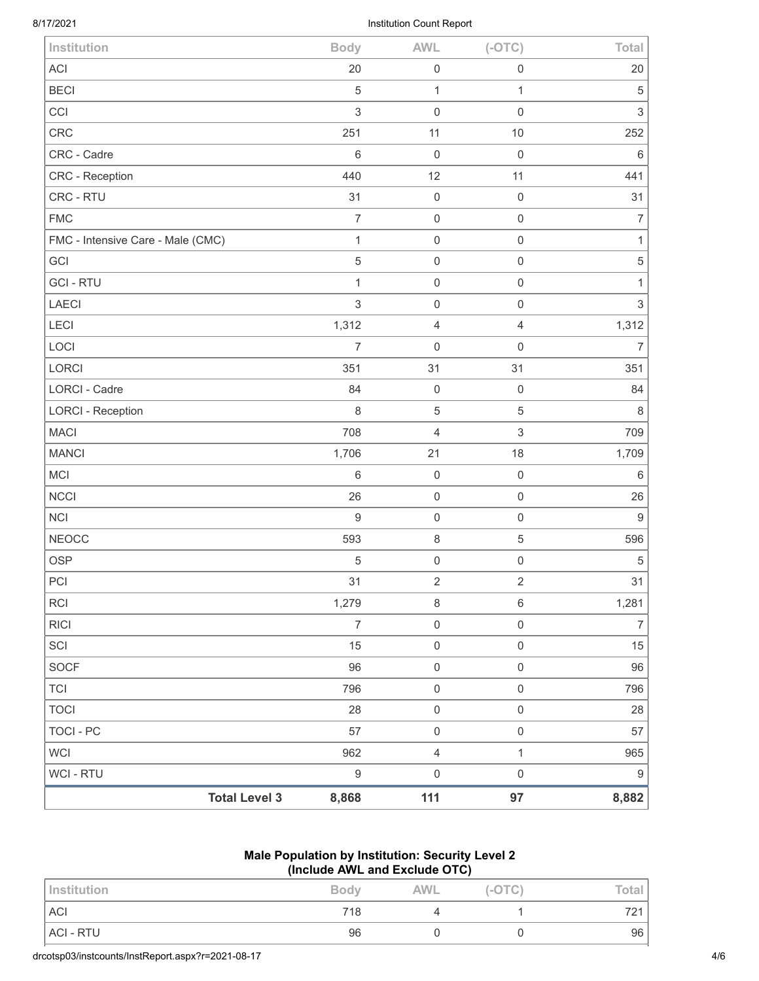| <b>Total Level 3</b>              | 8,868            | 111                 | 97                        | 8,882            |
|-----------------------------------|------------------|---------------------|---------------------------|------------------|
| WCI - RTU                         | $\boldsymbol{9}$ | $\boldsymbol{0}$    | $\mathsf{O}\xspace$       | $\boldsymbol{9}$ |
| <b>WCI</b>                        | 962              | $\sqrt{4}$          | $\mathbf{1}$              | 965              |
| <b>TOCI - PC</b>                  | 57               | $\mathbf 0$         | $\mathsf 0$               | 57               |
| <b>TOCI</b>                       | 28               | $\mathsf{O}\xspace$ | $\,0\,$                   | 28               |
| <b>TCI</b>                        | 796              | $\mathsf{O}\xspace$ | $\mathsf 0$               | 796              |
| SOCF                              | 96               | $\mathsf{O}\xspace$ | $\mathsf{O}\xspace$       | 96               |
| SCI                               | 15               | $\mathbf 0$         | $\mathsf{O}\xspace$       | 15               |
| <b>RICI</b>                       | $\boldsymbol{7}$ | $\boldsymbol{0}$    | $\mathsf{O}\xspace$       | $\boldsymbol{7}$ |
| <b>RCI</b>                        | 1,279            | $\,8\,$             | $\,6\,$                   | 1,281            |
| PCI                               | 31               | $\overline{2}$      | $\sqrt{2}$                | 31               |
| <b>OSP</b>                        | 5                | $\mathsf{O}\xspace$ | $\mathsf 0$               | $\sqrt{5}$       |
| <b>NEOCC</b>                      | 593              | $\,8\,$             | $\,$ 5 $\,$               | 596              |
| <b>NCI</b>                        | $\boldsymbol{9}$ | $\mathsf 0$         | $\mathsf 0$               | $\boldsymbol{9}$ |
| <b>NCCI</b>                       | 26               | $\mathbf 0$         | $\mathsf 0$               | 26               |
| MCI                               | 6                | $\mathbf 0$         | $\mathbf 0$               | $6\,$            |
| <b>MANCI</b>                      | 1,706            | 21                  | 18                        | 1,709            |
| <b>MACI</b>                       | 708              | 4                   | $\ensuremath{\mathsf{3}}$ | 709              |
| <b>LORCI - Reception</b>          | $\,8\,$          | 5                   | $\mathbf 5$               | 8                |
| <b>LORCI - Cadre</b>              | 84               | $\mathbf 0$         | $\mathsf 0$               | 84               |
| LORCI                             | 351              | 31                  | 31                        | 351              |
| LOCI                              | $\overline{7}$   | $\mathbf 0$         | $\mathsf{O}\xspace$       | $\overline{7}$   |
| <b>LECI</b>                       | 1,312            | 4                   | $\sqrt{4}$                | 1,312            |
| LAECI                             | 3                | $\mathbf 0$         | $\mathsf 0$               | $\mathfrak{S}$   |
| <b>GCI-RTU</b>                    | $\mathbf{1}$     | $\boldsymbol{0}$    | $\mathsf 0$               | $\mathbf{1}$     |
| GCI                               | 5                | $\mathsf{O}\xspace$ | $\mathsf{O}\xspace$       | $\,$ 5 $\,$      |
| FMC - Intensive Care - Male (CMC) | $\mathbf{1}$     | $\mathbf 0$         | $\,0\,$                   | $\mathbf{1}$     |
| <b>FMC</b>                        | 7                | $\mathbf 0$         | $\mathbf 0$               | $\overline{7}$   |
| CRC - RTU                         | 31               | $\mathbf 0$         | $\mathsf{O}\xspace$       | 31               |
| CRC - Reception                   | 440              | 12                  | 11                        | 441              |
| CRC - Cadre                       | $\,6\,$          | $\mathbf 0$         | $\mathsf 0$               | 6                |
| CRC                               | 251              | 11                  | 10                        | 252              |
| CCI                               | $\,$ 3 $\,$      | $\mathbf 0$         | $\mathsf 0$               | $\sqrt{3}$       |
| <b>BECI</b>                       | 5                | $\mathbf{1}$        | $\mathbf{1}$              | $\mathbf 5$      |
| <b>ACI</b>                        | 20               | $\mathsf 0$         | $\mathsf 0$               | 20               |
| Institution                       | <b>Body</b>      | <b>AWL</b>          | $(-OTC)$                  | Total            |

# **Male Population by Institution: Security Level 2 (Include AWL and Exclude OTC)**

| Institution | <b>Body</b> | AWL | $(-OTC)$ | Total |
|-------------|-------------|-----|----------|-------|
| <b>ACI</b>  | 718         |     |          | 721   |
| ACI - RTU   | 96          |     |          | 96    |
|             |             |     |          |       |

drcotsp03/instcounts/InstReport.aspx?r=2021-08-17 4/6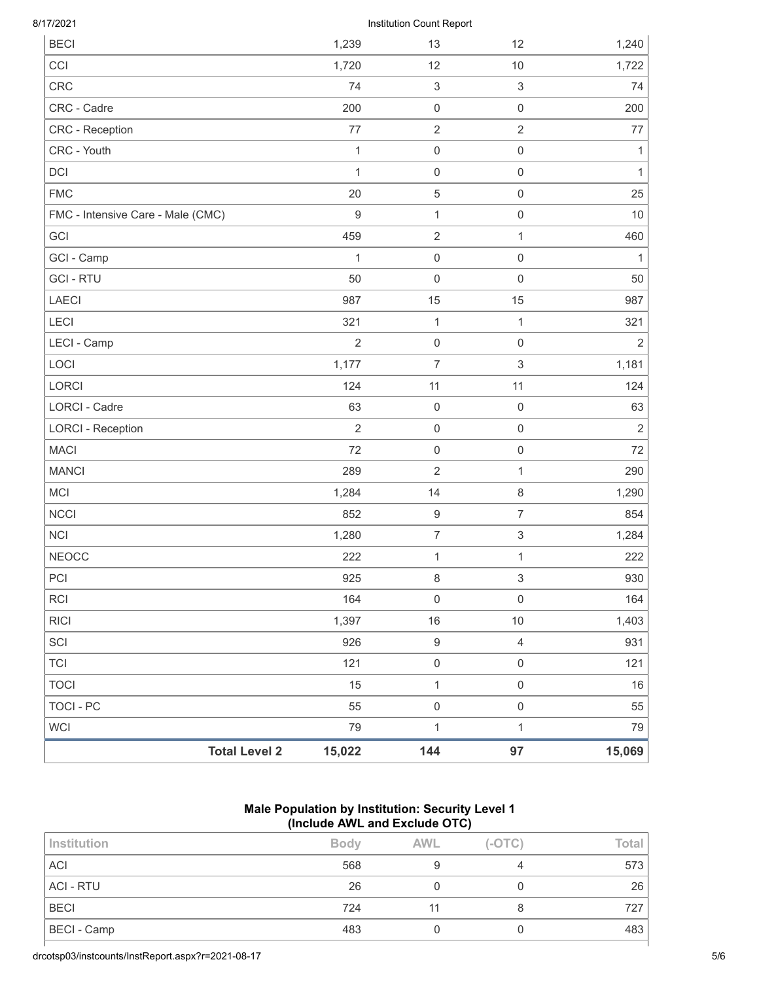| 8/17/2021 |  |
|-----------|--|
|-----------|--|

## Institution Count Report

| <b>BECI</b>                       |                      | 1,239            | 13                        | 12                        | 1,240          |
|-----------------------------------|----------------------|------------------|---------------------------|---------------------------|----------------|
| CCI                               |                      | 1,720            | 12                        | 10                        | 1,722          |
| <b>CRC</b>                        |                      | 74               | $\ensuremath{\mathsf{3}}$ | 3                         | 74             |
| CRC - Cadre                       |                      | 200              | $\mathbf 0$               | $\mathsf 0$               | 200            |
| CRC - Reception                   |                      | $77$             | $\sqrt{2}$                | $\overline{2}$            | 77             |
| CRC - Youth                       |                      | $\mathbf{1}$     | $\,0\,$                   | $\mathsf{O}\xspace$       | $\mathbf{1}$   |
| DCI                               |                      | $\mathbf{1}$     | $\mathbf 0$               | $\mathsf{O}\xspace$       | $\mathbf{1}$   |
| <b>FMC</b>                        |                      | 20               | $\mathbf 5$               | $\mathsf{O}\xspace$       | 25             |
| FMC - Intensive Care - Male (CMC) |                      | $\boldsymbol{9}$ | $\mathbf{1}$              | $\mathsf{O}\xspace$       | 10             |
| GCI                               |                      | 459              | $\sqrt{2}$                | $\mathbf{1}$              | 460            |
| GCI - Camp                        |                      | 1                | $\mathbf 0$               | $\mathsf{O}\xspace$       | 1              |
| <b>GCI-RTU</b>                    |                      | 50               | $\mathbf 0$               | $\mathsf{O}\xspace$       | 50             |
| <b>LAECI</b>                      |                      | 987              | 15                        | 15                        | 987            |
| LECI                              |                      | 321              | $\mathbf{1}$              | $\mathbf{1}$              | 321            |
| LECI - Camp                       |                      | $\overline{2}$   | $\mathbf 0$               | $\mathsf{O}\xspace$       | $\overline{2}$ |
| LOCI                              |                      | 1,177            | $\overline{7}$            | $\,$ 3 $\,$               | 1,181          |
| LORCI                             |                      | 124              | 11                        | 11                        | 124            |
| LORCI - Cadre                     |                      | 63               | $\mathbf 0$               | $\mathsf{O}\xspace$       | 63             |
| <b>LORCI - Reception</b>          |                      | $\overline{2}$   | $\mathbf 0$               | $\mathsf{O}\xspace$       | $\mathbf 2$    |
| <b>MACI</b>                       |                      | 72               | $\mathbf 0$               | $\mathsf{O}\xspace$       | 72             |
| <b>MANCI</b>                      |                      | 289              | $\overline{2}$            | $\mathbf{1}$              | 290            |
| MCI                               |                      | 1,284            | 14                        | $\,8\,$                   | 1,290          |
| <b>NCCI</b>                       |                      | 852              | $\boldsymbol{9}$          | $\overline{7}$            | 854            |
| <b>NCI</b>                        |                      | 1,280            | $\overline{7}$            | $\ensuremath{\mathsf{3}}$ | 1,284          |
| <b>NEOCC</b>                      |                      | 222              | 1                         | $\mathbf{1}$              | 222            |
| PCI                               |                      | 925              | $\,8\,$                   | 3                         | 930            |
| <b>RCI</b>                        |                      | 164              | $\mathbf 0$               | $\mathsf{O}\xspace$       | 164            |
| <b>RICI</b>                       |                      | 1,397            | 16                        | $10$                      | 1,403          |
| SCI                               |                      | 926              | $\boldsymbol{9}$          | $\overline{4}$            | 931            |
| <b>TCI</b>                        |                      | 121              | $\mathsf{O}\xspace$       | $\mathsf{O}\xspace$       | 121            |
| <b>TOCI</b>                       |                      | 15               | $\mathbf{1}$              | $\mathsf{O}\xspace$       | 16             |
| <b>TOCI - PC</b>                  |                      | 55               | $\mathbf 0$               | $\mathsf{O}\xspace$       | 55             |
| <b>WCI</b>                        |                      | 79               | $\mathbf 1$               | $\mathbf{1}$              | 79             |
|                                   | <b>Total Level 2</b> | 15,022           | 144                       | 97                        | 15,069         |

## **Male Population by Institution: Security Level 1 (Include AWL and Exclude OTC)**

| Institution        | <b>Body</b> | <b>AWL</b> | $(-OTC)$ | Total |
|--------------------|-------------|------------|----------|-------|
| <b>ACI</b>         | 568         |            |          | 573   |
| ACI - RTU          | 26          |            |          | 26    |
| <b>BECI</b>        | 724         |            |          | 727   |
| <b>BECI</b> - Camp | 483         |            |          | 483   |
|                    |             |            |          |       |

drcotsp03/instcounts/InstReport.aspx?r=2021-08-17 5/6